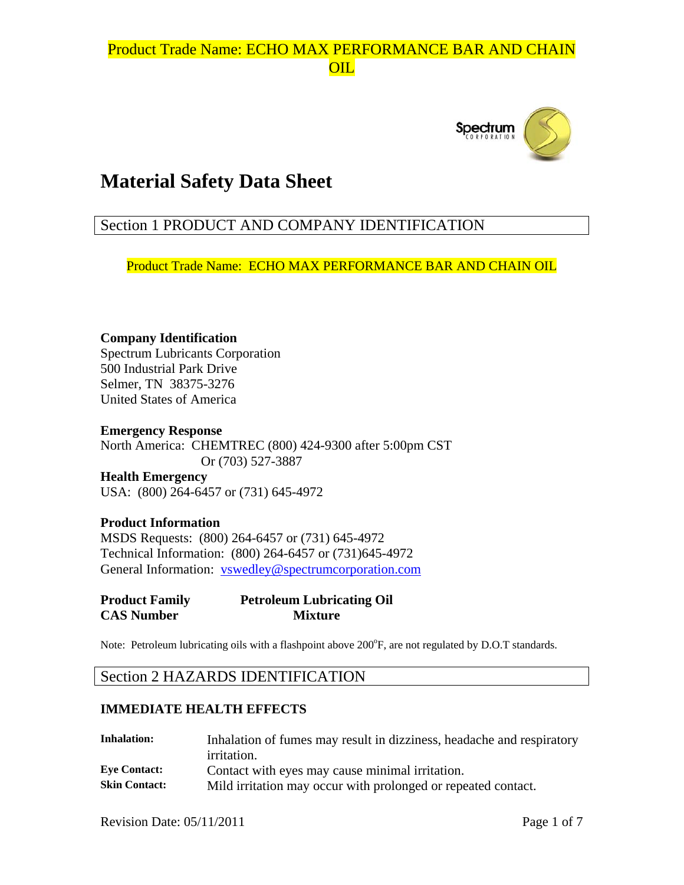

# **Material Safety Data Sheet**

## Section 1 PRODUCT AND COMPANY IDENTIFICATION

Product Trade Name: ECHO MAX PERFORMANCE BAR AND CHAIN OIL

**Company Identification**  Spectrum Lubricants Corporation 500 Industrial Park Drive Selmer, TN 38375-3276 United States of America

**Emergency Response**  North America: CHEMTREC (800) 424-9300 after 5:00pm CST Or (703) 527-3887 **Health Emergency**  USA: (800) 264-6457 or (731) 645-4972

**Product Information**  MSDS Requests: (800) 264-6457 or (731) 645-4972 Technical Information: (800) 264-6457 or (731)645-4972 General Information: vswedley@spectrumcorporation.com

**Product Family Petroleum Lubricating Oil CAS Number Mixture** 

Note: Petroleum lubricating oils with a flashpoint above 200°F, are not regulated by D.O.T standards.

### Section 2 HAZARDS IDENTIFICATION

#### **IMMEDIATE HEALTH EFFECTS**

| <b>Inhalation:</b>   | Inhalation of fumes may result in dizziness, headache and respiratory |
|----------------------|-----------------------------------------------------------------------|
|                      | <i>irritation.</i>                                                    |
| <b>Eve Contact:</b>  | Contact with eyes may cause minimal irritation.                       |
| <b>Skin Contact:</b> | Mild irritation may occur with prolonged or repeated contact.         |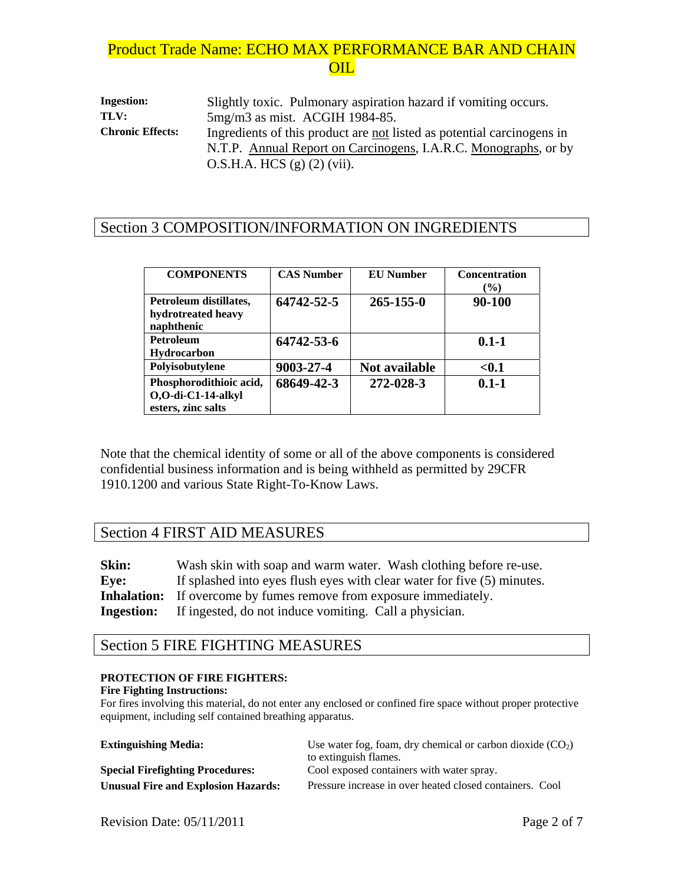**Ingestion:** Slightly toxic. Pulmonary aspiration hazard if vomiting occurs. **TLV:** 5mg/m3 as mist. ACGIH 1984-85. **Chronic Effects:** Ingredients of this product are not listed as potential carcinogens in N.T.P. Annual Report on Carcinogens, I.A.R.C. Monographs, or by O.S.H.A. HCS (g) (2) (vii).

### Section 3 COMPOSITION/INFORMATION ON INGREDIENTS

| <b>COMPONENTS</b>                                                   | <b>CAS Number</b> | <b>EU</b> Number     | <b>Concentration</b><br>$\frac{6}{2}$ |
|---------------------------------------------------------------------|-------------------|----------------------|---------------------------------------|
| Petroleum distillates,<br>hydrotreated heavy<br>naphthenic          | 64742-52-5        | $265 - 155 - 0$      | 90-100                                |
| <b>Petroleum</b><br><b>Hydrocarbon</b>                              | 64742-53-6        |                      | $0.1 - 1$                             |
| Polyisobutylene                                                     | 9003-27-4         | <b>Not available</b> | $0.1$                                 |
| Phosphorodithioic acid,<br>O,O-di-C1-14-alkyl<br>esters, zinc salts | 68649-42-3        | 272-028-3            | $0.1 - 1$                             |

Note that the chemical identity of some or all of the above components is considered confidential business information and is being withheld as permitted by 29CFR 1910.1200 and various State Right-To-Know Laws.

### Section 4 FIRST AID MEASURES

**Skin:** Wash skin with soap and warm water. Wash clothing before re-use. Eye: If splashed into eyes flush eyes with clear water for five (5) minutes. **Inhalation:** If overcome by fumes remove from exposure immediately. **Ingestion:** If ingested, do not induce vomiting. Call a physician.

### Section 5 FIRE FIGHTING MEASURES

#### **PROTECTION OF FIRE FIGHTERS:**

#### **Fire Fighting Instructions:**

For fires involving this material, do not enter any enclosed or confined fire space without proper protective equipment, including self contained breathing apparatus.

| <b>Extinguishing Media:</b>                | Use water fog, foam, dry chemical or carbon dioxide $(CO_2)$ |
|--------------------------------------------|--------------------------------------------------------------|
|                                            | to extinguish flames.                                        |
| <b>Special Firefighting Procedures:</b>    | Cool exposed containers with water spray.                    |
| <b>Unusual Fire and Explosion Hazards:</b> | Pressure increase in over heated closed containers. Cool     |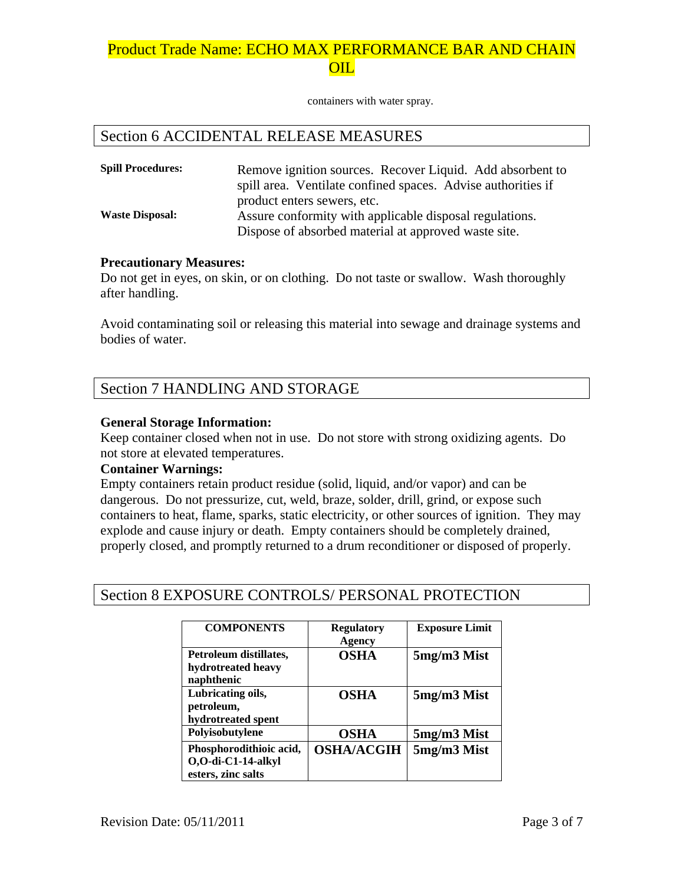containers with water spray.

### Section 6 ACCIDENTAL RELEASE MEASURES

| <b>Spill Procedures:</b> | Remove ignition sources. Recover Liquid. Add absorbent to    |
|--------------------------|--------------------------------------------------------------|
|                          | spill area. Ventilate confined spaces. Advise authorities if |
|                          | product enters sewers, etc.                                  |
| <b>Waste Disposal:</b>   | Assure conformity with applicable disposal regulations.      |
|                          | Dispose of absorbed material at approved waste site.         |

#### **Precautionary Measures:**

Do not get in eyes, on skin, or on clothing. Do not taste or swallow. Wash thoroughly after handling.

Avoid contaminating soil or releasing this material into sewage and drainage systems and bodies of water.

## Section 7 HANDLING AND STORAGE

#### **General Storage Information:**

Keep container closed when not in use. Do not store with strong oxidizing agents. Do not store at elevated temperatures.

#### **Container Warnings:**

Empty containers retain product residue (solid, liquid, and/or vapor) and can be dangerous. Do not pressurize, cut, weld, braze, solder, drill, grind, or expose such containers to heat, flame, sparks, static electricity, or other sources of ignition. They may explode and cause injury or death. Empty containers should be completely drained, properly closed, and promptly returned to a drum reconditioner or disposed of properly.

### Section 8 EXPOSURE CONTROLS/ PERSONAL PROTECTION

| <b>COMPONENTS</b>                                                   | <b>Regulatory</b><br><b>Agency</b> | <b>Exposure Limit</b> |
|---------------------------------------------------------------------|------------------------------------|-----------------------|
| Petroleum distillates,<br>hydrotreated heavy<br>naphthenic          | <b>OSHA</b>                        | 5mg/m3 Mist           |
| Lubricating oils,<br>petroleum,<br>hydrotreated spent               | OSHA                               | 5mg/m3 Mist           |
| Polyisobutylene                                                     | <b>OSHA</b>                        | 5mg/m3 Mist           |
| Phosphorodithioic acid,<br>O,O-di-C1-14-alkyl<br>esters, zinc salts | <b>OSHA/ACGIH</b>                  | 5mg/m3 Mist           |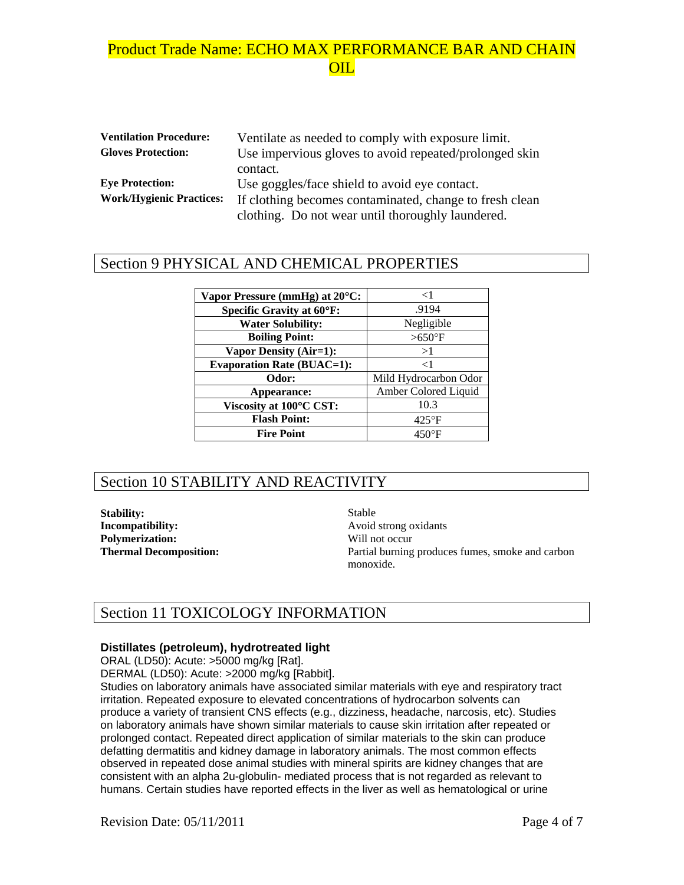| <b>Ventilation Procedure:</b>   | Ventilate as needed to comply with exposure limit.      |
|---------------------------------|---------------------------------------------------------|
| <b>Gloves Protection:</b>       | Use impervious gloves to avoid repeated/prolonged skin  |
|                                 | contact.                                                |
| <b>Eye Protection:</b>          | Use goggles/face shield to avoid eye contact.           |
| <b>Work/Hygienic Practices:</b> | If clothing becomes contaminated, change to fresh clean |
|                                 | clothing. Do not wear until thoroughly laundered.       |

### Section 9 PHYSICAL AND CHEMICAL PROPERTIES

| Vapor Pressure (mmHg) at 20°C:    | $\leq$ 1              |
|-----------------------------------|-----------------------|
| <b>Specific Gravity at 60°F:</b>  | .9194                 |
| <b>Water Solubility:</b>          | Negligible            |
| <b>Boiling Point:</b>             | $>650$ °F             |
| <b>Vapor Density (Air=1):</b>     | >1                    |
| <b>Evaporation Rate (BUAC=1):</b> | $\leq$ 1              |
| Odor:                             | Mild Hydrocarbon Odor |
| Appearance:                       | Amber Colored Liquid  |
| Viscosity at 100°C CST:           | 10.3                  |
| <b>Flash Point:</b>               | $425^{\circ}F$        |
| <b>Fire Point</b>                 | $450^{\circ}$ F       |

## Section 10 STABILITY AND REACTIVITY

**Stability:** Stable **Incompatibility:** Avoid strong oxidants **Polymerization:** Will not occur

**Thermal Decomposition: Partial burning produces fumes, smoke and carbon** monoxide.

## Section 11 TOXICOLOGY INFORMATION

#### **Distillates (petroleum), hydrotreated light**

ORAL (LD50): Acute: >5000 mg/kg [Rat].

DERMAL (LD50): Acute: >2000 mg/kg [Rabbit].

Studies on laboratory animals have associated similar materials with eye and respiratory tract irritation. Repeated exposure to elevated concentrations of hydrocarbon solvents can produce a variety of transient CNS effects (e.g., dizziness, headache, narcosis, etc). Studies on laboratory animals have shown similar materials to cause skin irritation after repeated or prolonged contact. Repeated direct application of similar materials to the skin can produce defatting dermatitis and kidney damage in laboratory animals. The most common effects observed in repeated dose animal studies with mineral spirits are kidney changes that are consistent with an alpha 2u-globulin- mediated process that is not regarded as relevant to humans. Certain studies have reported effects in the liver as well as hematological or urine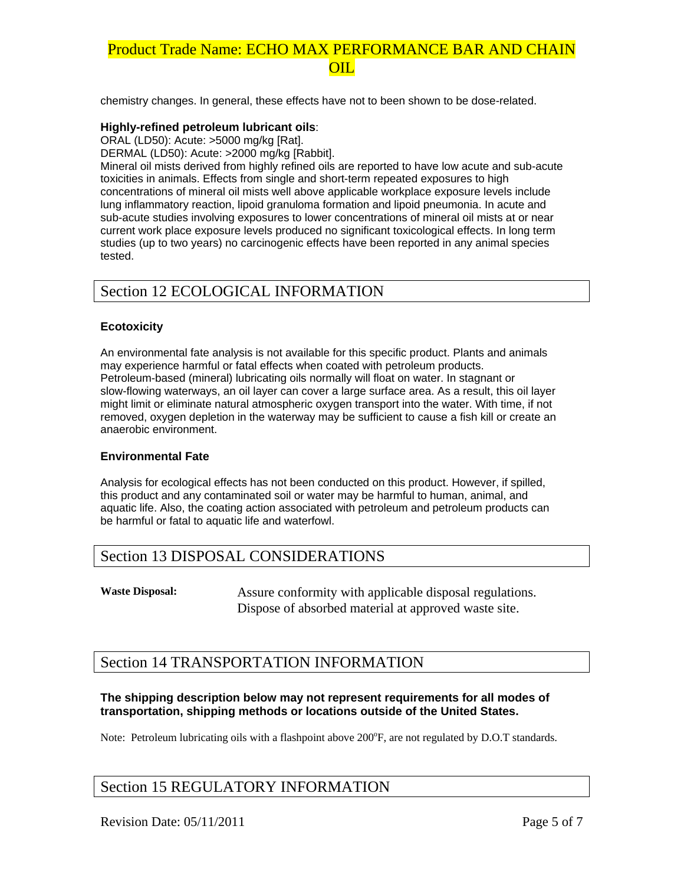chemistry changes. In general, these effects have not to been shown to be dose-related.

#### **Highly-refined petroleum lubricant oils**:

ORAL (LD50): Acute: >5000 mg/kg [Rat].

DERMAL (LD50): Acute: >2000 mg/kg [Rabbit].

Mineral oil mists derived from highly refined oils are reported to have low acute and sub-acute toxicities in animals. Effects from single and short-term repeated exposures to high concentrations of mineral oil mists well above applicable workplace exposure levels include lung inflammatory reaction, lipoid granuloma formation and lipoid pneumonia. In acute and sub-acute studies involving exposures to lower concentrations of mineral oil mists at or near current work place exposure levels produced no significant toxicological effects. In long term studies (up to two years) no carcinogenic effects have been reported in any animal species tested.

### Section 12 ECOLOGICAL INFORMATION

#### **Ecotoxicity**

An environmental fate analysis is not available for this specific product. Plants and animals may experience harmful or fatal effects when coated with petroleum products. Petroleum-based (mineral) lubricating oils normally will float on water. In stagnant or slow-flowing waterways, an oil layer can cover a large surface area. As a result, this oil layer might limit or eliminate natural atmospheric oxygen transport into the water. With time, if not removed, oxygen depletion in the waterway may be sufficient to cause a fish kill or create an anaerobic environment.

#### **Environmental Fate**

Analysis for ecological effects has not been conducted on this product. However, if spilled, this product and any contaminated soil or water may be harmful to human, animal, and aquatic life. Also, the coating action associated with petroleum and petroleum products can be harmful or fatal to aquatic life and waterfowl.

### Section 13 DISPOSAL CONSIDERATIONS

**Waste Disposal:** Assure conformity with applicable disposal regulations. Dispose of absorbed material at approved waste site.

### Section 14 TRANSPORTATION INFORMATION

#### **The shipping description below may not represent requirements for all modes of transportation, shipping methods or locations outside of the United States.**

Note: Petroleum lubricating oils with a flashpoint above 200°F, are not regulated by D.O.T standards.

### Section 15 REGULATORY INFORMATION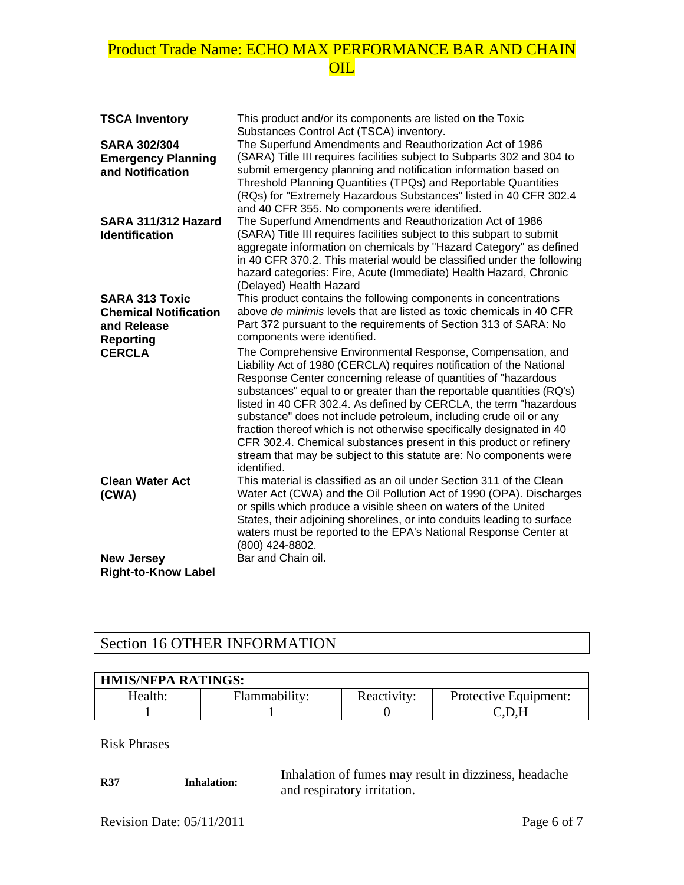| <b>TSCA Inventory</b>                                                                    | This product and/or its components are listed on the Toxic<br>Substances Control Act (TSCA) inventory.                                                                                                                                                                                                                                                                                                                                                                                                                                                                                                                                                       |
|------------------------------------------------------------------------------------------|--------------------------------------------------------------------------------------------------------------------------------------------------------------------------------------------------------------------------------------------------------------------------------------------------------------------------------------------------------------------------------------------------------------------------------------------------------------------------------------------------------------------------------------------------------------------------------------------------------------------------------------------------------------|
| <b>SARA 302/304</b><br><b>Emergency Planning</b><br>and Notification                     | The Superfund Amendments and Reauthorization Act of 1986<br>(SARA) Title III requires facilities subject to Subparts 302 and 304 to<br>submit emergency planning and notification information based on<br>Threshold Planning Quantities (TPQs) and Reportable Quantities<br>(RQs) for "Extremely Hazardous Substances" listed in 40 CFR 302.4<br>and 40 CFR 355. No components were identified.                                                                                                                                                                                                                                                              |
| SARA 311/312 Hazard<br><b>Identification</b>                                             | The Superfund Amendments and Reauthorization Act of 1986<br>(SARA) Title III requires facilities subject to this subpart to submit<br>aggregate information on chemicals by "Hazard Category" as defined<br>in 40 CFR 370.2. This material would be classified under the following<br>hazard categories: Fire, Acute (Immediate) Health Hazard, Chronic<br>(Delayed) Health Hazard                                                                                                                                                                                                                                                                           |
| <b>SARA 313 Toxic</b><br><b>Chemical Notification</b><br>and Release<br><b>Reporting</b> | This product contains the following components in concentrations<br>above de minimis levels that are listed as toxic chemicals in 40 CFR<br>Part 372 pursuant to the requirements of Section 313 of SARA: No<br>components were identified.                                                                                                                                                                                                                                                                                                                                                                                                                  |
| <b>CERCLA</b>                                                                            | The Comprehensive Environmental Response, Compensation, and<br>Liability Act of 1980 (CERCLA) requires notification of the National<br>Response Center concerning release of quantities of "hazardous<br>substances" equal to or greater than the reportable quantities (RQ's)<br>listed in 40 CFR 302.4. As defined by CERCLA, the term "hazardous<br>substance" does not include petroleum, including crude oil or any<br>fraction thereof which is not otherwise specifically designated in 40<br>CFR 302.4. Chemical substances present in this product or refinery<br>stream that may be subject to this statute are: No components were<br>identified. |
| <b>Clean Water Act</b><br>(CWA)                                                          | This material is classified as an oil under Section 311 of the Clean<br>Water Act (CWA) and the Oil Pollution Act of 1990 (OPA). Discharges<br>or spills which produce a visible sheen on waters of the United<br>States, their adjoining shorelines, or into conduits leading to surface<br>waters must be reported to the EPA's National Response Center at<br>(800) 424-8802.                                                                                                                                                                                                                                                                             |
| <b>New Jersey</b><br><b>Right-to-Know Label</b>                                          | Bar and Chain oil.                                                                                                                                                                                                                                                                                                                                                                                                                                                                                                                                                                                                                                           |

# Section 16 OTHER INFORMATION

| <b>HMIS/NFPA RATINGS:</b> |               |             |                       |
|---------------------------|---------------|-------------|-----------------------|
| Health:                   | Flammability: | Reactivity: | Protective Equipment: |
|                           |               |             | ( ' I ) H             |

Risk Phrases

**R37** Inhalation: Inhalation of fumes may result in dizziness, headache and respiratory irritation.